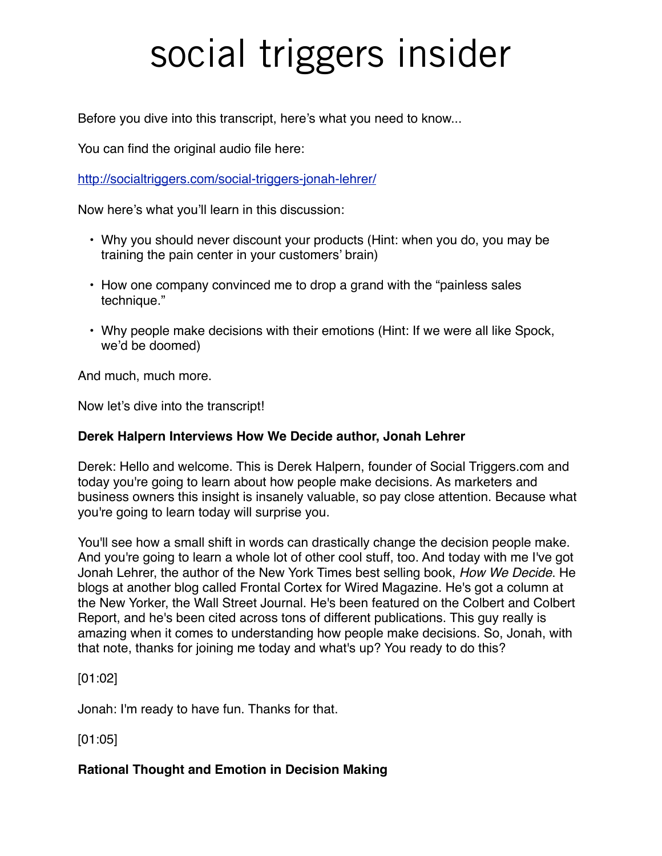Before you dive into this transcript, here's what you need to know...

You can find the original audio file here:

<http://socialtriggers.com/social-triggers-jonah-lehrer/>

Now here's what you'll learn in this discussion:

- Why you should never discount your products (Hint: when you do, you may be training the pain center in your customers' brain)
- How one company convinced me to drop a grand with the "painless sales technique."
- Why people make decisions with their emotions (Hint: If we were all like Spock, we'd be doomed)

And much, much more.

Now let's dive into the transcript!

#### **Derek Halpern Interviews How We Decide author, Jonah Lehrer**

Derek: Hello and welcome. This is Derek Halpern, founder of Social Triggers.com and today you're going to learn about how people make decisions. As marketers and business owners this insight is insanely valuable, so pay close attention. Because what you're going to learn today will surprise you.

You'll see how a small shift in words can drastically change the decision people make. And you're going to learn a whole lot of other cool stuff, too. And today with me I've got Jonah Lehrer, the author of the New York Times best selling book, *How We Decide*. He blogs at another blog called Frontal Cortex for Wired Magazine. He's got a column at the New Yorker, the Wall Street Journal. He's been featured on the Colbert and Colbert Report, and he's been cited across tons of different publications. This guy really is amazing when it comes to understanding how people make decisions. So, Jonah, with that note, thanks for joining me today and what's up? You ready to do this?

[01:02]

Jonah: I'm ready to have fun. Thanks for that.

[01:05]

#### **Rational Thought and Emotion in Decision Making**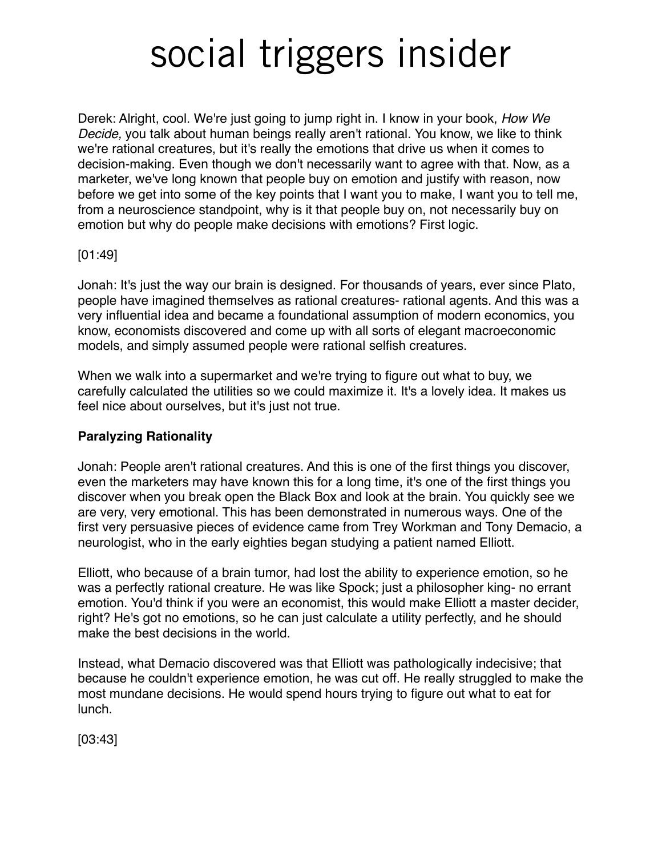Derek: Alright, cool. We're just going to jump right in. I know in your book, *How We Decide,* you talk about human beings really aren't rational. You know, we like to think we're rational creatures, but it's really the emotions that drive us when it comes to decision-making. Even though we don't necessarily want to agree with that. Now, as a marketer, we've long known that people buy on emotion and justify with reason, now before we get into some of the key points that I want you to make, I want you to tell me, from a neuroscience standpoint, why is it that people buy on, not necessarily buy on emotion but why do people make decisions with emotions? First logic.

#### [01:49]

Jonah: It's just the way our brain is designed. For thousands of years, ever since Plato, people have imagined themselves as rational creatures- rational agents. And this was a very influential idea and became a foundational assumption of modern economics, you know, economists discovered and come up with all sorts of elegant macroeconomic models, and simply assumed people were rational selfish creatures.

When we walk into a supermarket and we're trying to figure out what to buy, we carefully calculated the utilities so we could maximize it. It's a lovely idea. It makes us feel nice about ourselves, but it's just not true.

#### **Paralyzing Rationality**

Jonah: People aren't rational creatures. And this is one of the first things you discover, even the marketers may have known this for a long time, it's one of the first things you discover when you break open the Black Box and look at the brain. You quickly see we are very, very emotional. This has been demonstrated in numerous ways. One of the first very persuasive pieces of evidence came from Trey Workman and Tony Demacio, a neurologist, who in the early eighties began studying a patient named Elliott.

Elliott, who because of a brain tumor, had lost the ability to experience emotion, so he was a perfectly rational creature. He was like Spock; just a philosopher king- no errant emotion. You'd think if you were an economist, this would make Elliott a master decider, right? He's got no emotions, so he can just calculate a utility perfectly, and he should make the best decisions in the world.

Instead, what Demacio discovered was that Elliott was pathologically indecisive; that because he couldn't experience emotion, he was cut off. He really struggled to make the most mundane decisions. He would spend hours trying to figure out what to eat for lunch.

[03:43]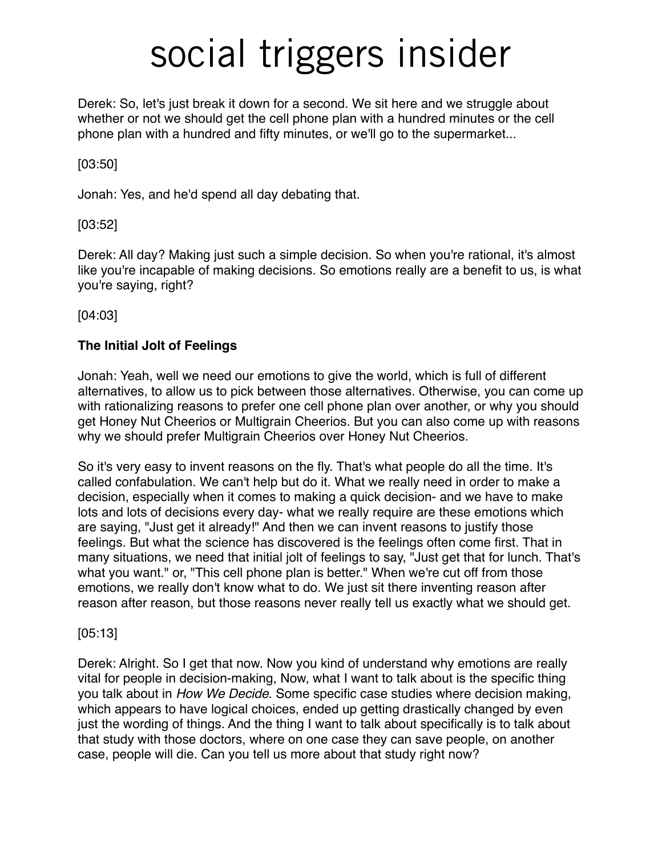Derek: So, let's just break it down for a second. We sit here and we struggle about whether or not we should get the cell phone plan with a hundred minutes or the cell phone plan with a hundred and fifty minutes, or we'll go to the supermarket...

#### [03:50]

Jonah: Yes, and he'd spend all day debating that.

#### [03:52]

Derek: All day? Making just such a simple decision. So when you're rational, it's almost like you're incapable of making decisions. So emotions really are a benefit to us, is what you're saying, right?

[04:03]

### **The Initial Jolt of Feelings**

Jonah: Yeah, well we need our emotions to give the world, which is full of different alternatives, to allow us to pick between those alternatives. Otherwise, you can come up with rationalizing reasons to prefer one cell phone plan over another, or why you should get Honey Nut Cheerios or Multigrain Cheerios. But you can also come up with reasons why we should prefer Multigrain Cheerios over Honey Nut Cheerios.

So it's very easy to invent reasons on the fly. That's what people do all the time. It's called confabulation. We can't help but do it. What we really need in order to make a decision, especially when it comes to making a quick decision- and we have to make lots and lots of decisions every day- what we really require are these emotions which are saying, "Just get it already!" And then we can invent reasons to justify those feelings. But what the science has discovered is the feelings often come first. That in many situations, we need that initial jolt of feelings to say, "Just get that for lunch. That's what you want." or, "This cell phone plan is better." When we're cut off from those emotions, we really don't know what to do. We just sit there inventing reason after reason after reason, but those reasons never really tell us exactly what we should get.

#### [05:13]

Derek: Alright. So I get that now. Now you kind of understand why emotions are really vital for people in decision-making, Now, what I want to talk about is the specific thing you talk about in *How We Decide*. Some specific case studies where decision making, which appears to have logical choices, ended up getting drastically changed by even just the wording of things. And the thing I want to talk about specifically is to talk about that study with those doctors, where on one case they can save people, on another case, people will die. Can you tell us more about that study right now?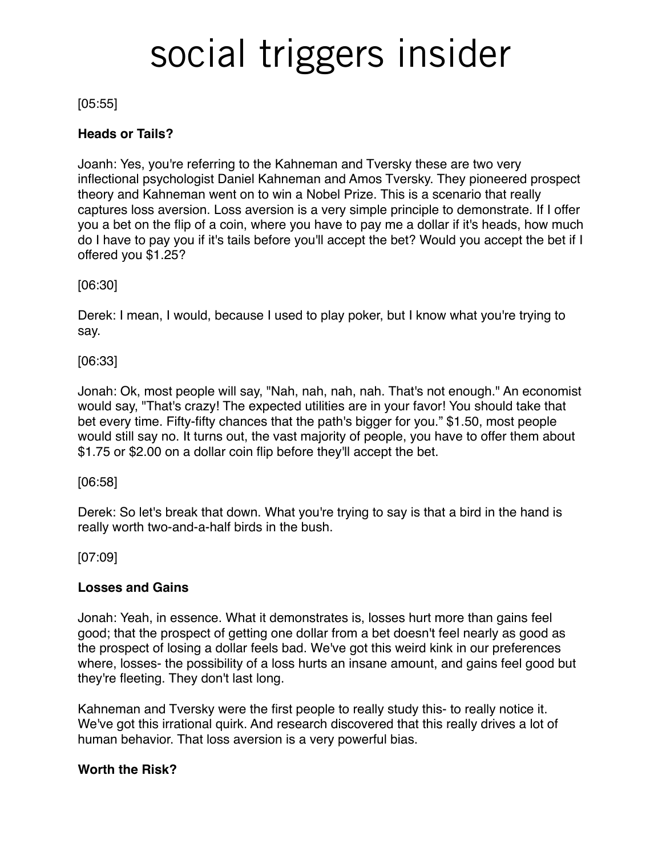#### [05:55]

#### **Heads or Tails?**

Joanh: Yes, you're referring to the Kahneman and Tversky these are two very inflectional psychologist Daniel Kahneman and Amos Tversky. They pioneered prospect theory and Kahneman went on to win a Nobel Prize. This is a scenario that really captures loss aversion. Loss aversion is a very simple principle to demonstrate. If I offer you a bet on the flip of a coin, where you have to pay me a dollar if it's heads, how much do I have to pay you if it's tails before you'll accept the bet? Would you accept the bet if I offered you \$1.25?

#### [06:30]

Derek: I mean, I would, because I used to play poker, but I know what you're trying to say.

[06:33]

Jonah: Ok, most people will say, "Nah, nah, nah, nah. That's not enough." An economist would say, "That's crazy! The expected utilities are in your favor! You should take that bet every time. Fifty-fifty chances that the path's bigger for you." \$1.50, most people would still say no. It turns out, the vast majority of people, you have to offer them about \$1.75 or \$2.00 on a dollar coin flip before they'll accept the bet.

[06:58]

Derek: So let's break that down. What you're trying to say is that a bird in the hand is really worth two-and-a-half birds in the bush.

[07:09]

#### **Losses and Gains**

Jonah: Yeah, in essence. What it demonstrates is, losses hurt more than gains feel good; that the prospect of getting one dollar from a bet doesn't feel nearly as good as the prospect of losing a dollar feels bad. We've got this weird kink in our preferences where, losses- the possibility of a loss hurts an insane amount, and gains feel good but they're fleeting. They don't last long.

Kahneman and Tversky were the first people to really study this- to really notice it. We've got this irrational quirk. And research discovered that this really drives a lot of human behavior. That loss aversion is a very powerful bias.

#### **Worth the Risk?**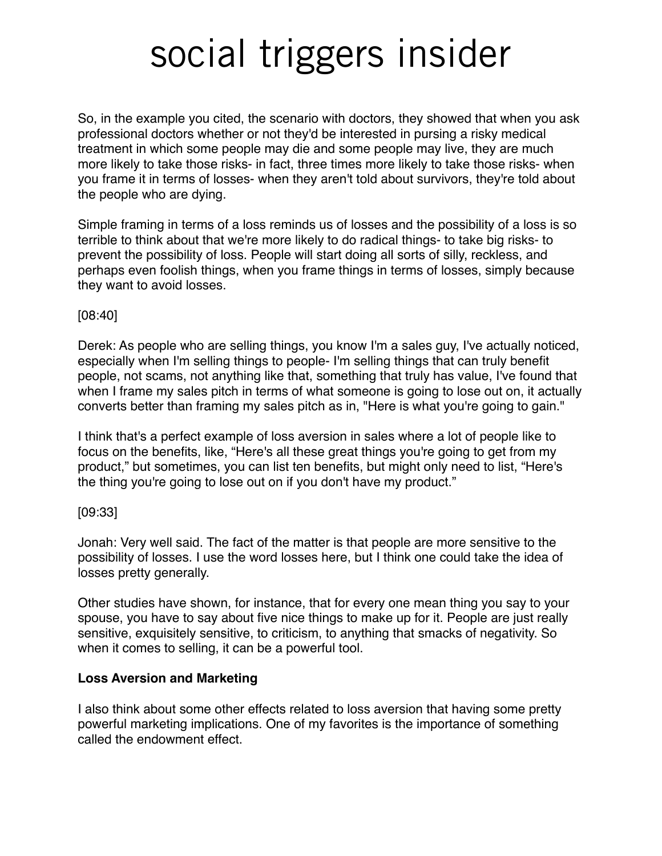So, in the example you cited, the scenario with doctors, they showed that when you ask professional doctors whether or not they'd be interested in pursing a risky medical treatment in which some people may die and some people may live, they are much more likely to take those risks- in fact, three times more likely to take those risks- when you frame it in terms of losses- when they aren't told about survivors, they're told about the people who are dying.

Simple framing in terms of a loss reminds us of losses and the possibility of a loss is so terrible to think about that we're more likely to do radical things- to take big risks- to prevent the possibility of loss. People will start doing all sorts of silly, reckless, and perhaps even foolish things, when you frame things in terms of losses, simply because they want to avoid losses.

[08:40]

Derek: As people who are selling things, you know I'm a sales guy, I've actually noticed, especially when I'm selling things to people- I'm selling things that can truly benefit people, not scams, not anything like that, something that truly has value, I've found that when I frame my sales pitch in terms of what someone is going to lose out on, it actually converts better than framing my sales pitch as in, "Here is what you're going to gain."

I think that's a perfect example of loss aversion in sales where a lot of people like to focus on the benefits, like, "Here's all these great things you're going to get from my product," but sometimes, you can list ten benefits, but might only need to list, "Here's the thing you're going to lose out on if you don't have my product."

[09:33]

Jonah: Very well said. The fact of the matter is that people are more sensitive to the possibility of losses. I use the word losses here, but I think one could take the idea of losses pretty generally.

Other studies have shown, for instance, that for every one mean thing you say to your spouse, you have to say about five nice things to make up for it. People are just really sensitive, exquisitely sensitive, to criticism, to anything that smacks of negativity. So when it comes to selling, it can be a powerful tool.

#### **Loss Aversion and Marketing**

I also think about some other effects related to loss aversion that having some pretty powerful marketing implications. One of my favorites is the importance of something called the endowment effect.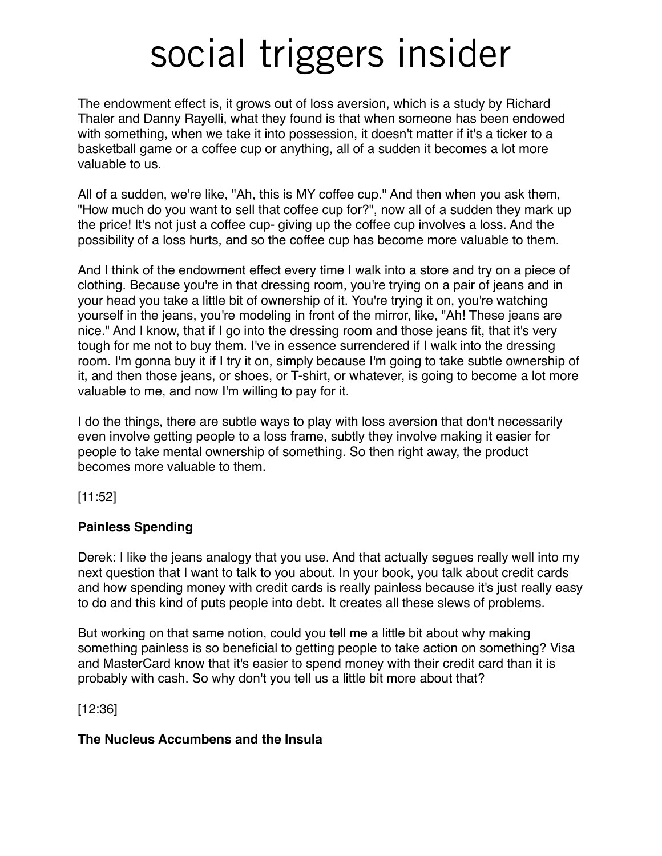The endowment effect is, it grows out of loss aversion, which is a study by Richard Thaler and Danny Rayelli, what they found is that when someone has been endowed with something, when we take it into possession, it doesn't matter if it's a ticker to a basketball game or a coffee cup or anything, all of a sudden it becomes a lot more valuable to us.

All of a sudden, we're like, "Ah, this is MY coffee cup." And then when you ask them, "How much do you want to sell that coffee cup for?", now all of a sudden they mark up the price! It's not just a coffee cup- giving up the coffee cup involves a loss. And the possibility of a loss hurts, and so the coffee cup has become more valuable to them.

And I think of the endowment effect every time I walk into a store and try on a piece of clothing. Because you're in that dressing room, you're trying on a pair of jeans and in your head you take a little bit of ownership of it. You're trying it on, you're watching yourself in the jeans, you're modeling in front of the mirror, like, "Ah! These jeans are nice." And I know, that if I go into the dressing room and those jeans fit, that it's very tough for me not to buy them. I've in essence surrendered if I walk into the dressing room. I'm gonna buy it if I try it on, simply because I'm going to take subtle ownership of it, and then those jeans, or shoes, or T-shirt, or whatever, is going to become a lot more valuable to me, and now I'm willing to pay for it.

I do the things, there are subtle ways to play with loss aversion that don't necessarily even involve getting people to a loss frame, subtly they involve making it easier for people to take mental ownership of something. So then right away, the product becomes more valuable to them.

[11:52]

#### **Painless Spending**

Derek: I like the jeans analogy that you use. And that actually segues really well into my next question that I want to talk to you about. In your book, you talk about credit cards and how spending money with credit cards is really painless because it's just really easy to do and this kind of puts people into debt. It creates all these slews of problems.

But working on that same notion, could you tell me a little bit about why making something painless is so beneficial to getting people to take action on something? Visa and MasterCard know that it's easier to spend money with their credit card than it is probably with cash. So why don't you tell us a little bit more about that?

[12:36]

#### **The Nucleus Accumbens and the Insula**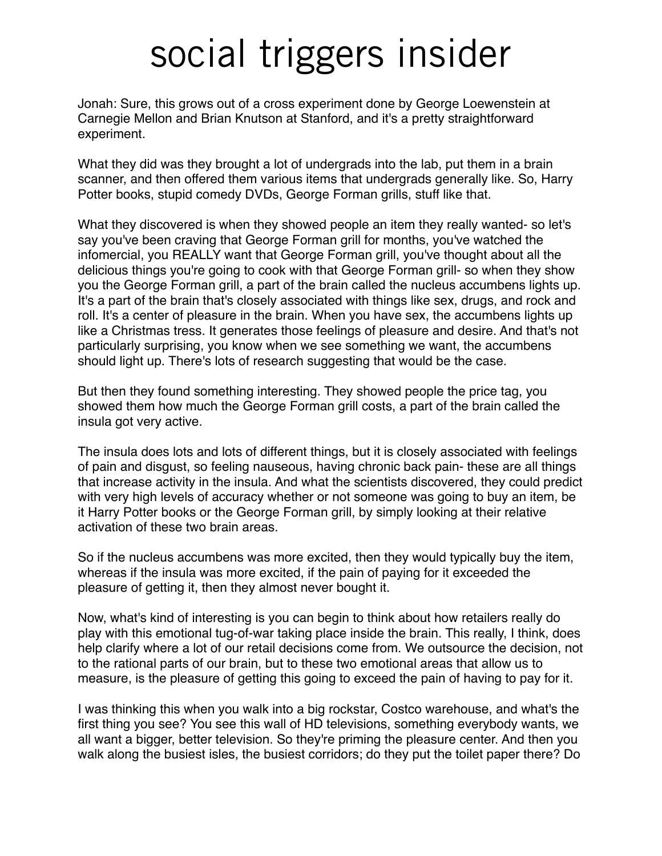Jonah: Sure, this grows out of a cross experiment done by George Loewenstein at Carnegie Mellon and Brian Knutson at Stanford, and it's a pretty straightforward experiment.

What they did was they brought a lot of undergrads into the lab, put them in a brain scanner, and then offered them various items that undergrads generally like. So, Harry Potter books, stupid comedy DVDs, George Forman grills, stuff like that.

What they discovered is when they showed people an item they really wanted- so let's say you've been craving that George Forman grill for months, you've watched the infomercial, you REALLY want that George Forman grill, you've thought about all the delicious things you're going to cook with that George Forman grill- so when they show you the George Forman grill, a part of the brain called the nucleus accumbens lights up. It's a part of the brain that's closely associated with things like sex, drugs, and rock and roll. It's a center of pleasure in the brain. When you have sex, the accumbens lights up like a Christmas tress. It generates those feelings of pleasure and desire. And that's not particularly surprising, you know when we see something we want, the accumbens should light up. There's lots of research suggesting that would be the case.

But then they found something interesting. They showed people the price tag, you showed them how much the George Forman grill costs, a part of the brain called the insula got very active.

The insula does lots and lots of different things, but it is closely associated with feelings of pain and disgust, so feeling nauseous, having chronic back pain- these are all things that increase activity in the insula. And what the scientists discovered, they could predict with very high levels of accuracy whether or not someone was going to buy an item, be it Harry Potter books or the George Forman grill, by simply looking at their relative activation of these two brain areas.

So if the nucleus accumbens was more excited, then they would typically buy the item, whereas if the insula was more excited, if the pain of paying for it exceeded the pleasure of getting it, then they almost never bought it.

Now, what's kind of interesting is you can begin to think about how retailers really do play with this emotional tug-of-war taking place inside the brain. This really, I think, does help clarify where a lot of our retail decisions come from. We outsource the decision, not to the rational parts of our brain, but to these two emotional areas that allow us to measure, is the pleasure of getting this going to exceed the pain of having to pay for it.

I was thinking this when you walk into a big rockstar, Costco warehouse, and what's the first thing you see? You see this wall of HD televisions, something everybody wants, we all want a bigger, better television. So they're priming the pleasure center. And then you walk along the busiest isles, the busiest corridors; do they put the toilet paper there? Do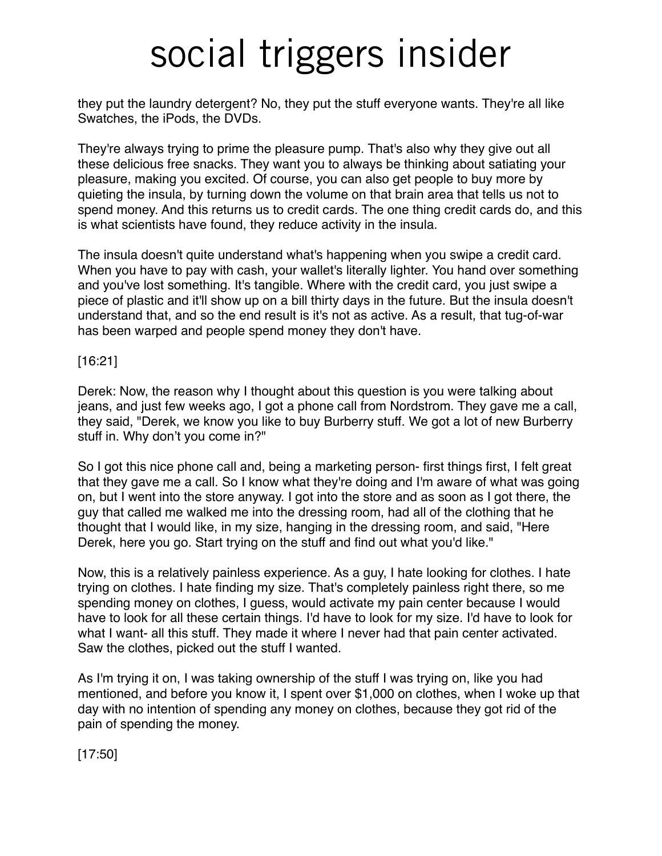they put the laundry detergent? No, they put the stuff everyone wants. They're all like Swatches, the iPods, the DVDs.

They're always trying to prime the pleasure pump. That's also why they give out all these delicious free snacks. They want you to always be thinking about satiating your pleasure, making you excited. Of course, you can also get people to buy more by quieting the insula, by turning down the volume on that brain area that tells us not to spend money. And this returns us to credit cards. The one thing credit cards do, and this is what scientists have found, they reduce activity in the insula.

The insula doesn't quite understand what's happening when you swipe a credit card. When you have to pay with cash, your wallet's literally lighter. You hand over something and you've lost something. It's tangible. Where with the credit card, you just swipe a piece of plastic and it'll show up on a bill thirty days in the future. But the insula doesn't understand that, and so the end result is it's not as active. As a result, that tug-of-war has been warped and people spend money they don't have.

[16:21]

Derek: Now, the reason why I thought about this question is you were talking about jeans, and just few weeks ago, I got a phone call from Nordstrom. They gave me a call, they said, "Derek, we know you like to buy Burberry stuff. We got a lot of new Burberry stuff in. Why don't you come in?"

So I got this nice phone call and, being a marketing person- first things first, I felt great that they gave me a call. So I know what they're doing and I'm aware of what was going on, but I went into the store anyway. I got into the store and as soon as I got there, the guy that called me walked me into the dressing room, had all of the clothing that he thought that I would like, in my size, hanging in the dressing room, and said, "Here Derek, here you go. Start trying on the stuff and find out what you'd like."

Now, this is a relatively painless experience. As a guy, I hate looking for clothes. I hate trying on clothes. I hate finding my size. That's completely painless right there, so me spending money on clothes, I guess, would activate my pain center because I would have to look for all these certain things. I'd have to look for my size. I'd have to look for what I want- all this stuff. They made it where I never had that pain center activated. Saw the clothes, picked out the stuff I wanted.

As I'm trying it on, I was taking ownership of the stuff I was trying on, like you had mentioned, and before you know it, I spent over \$1,000 on clothes, when I woke up that day with no intention of spending any money on clothes, because they got rid of the pain of spending the money.

[17:50]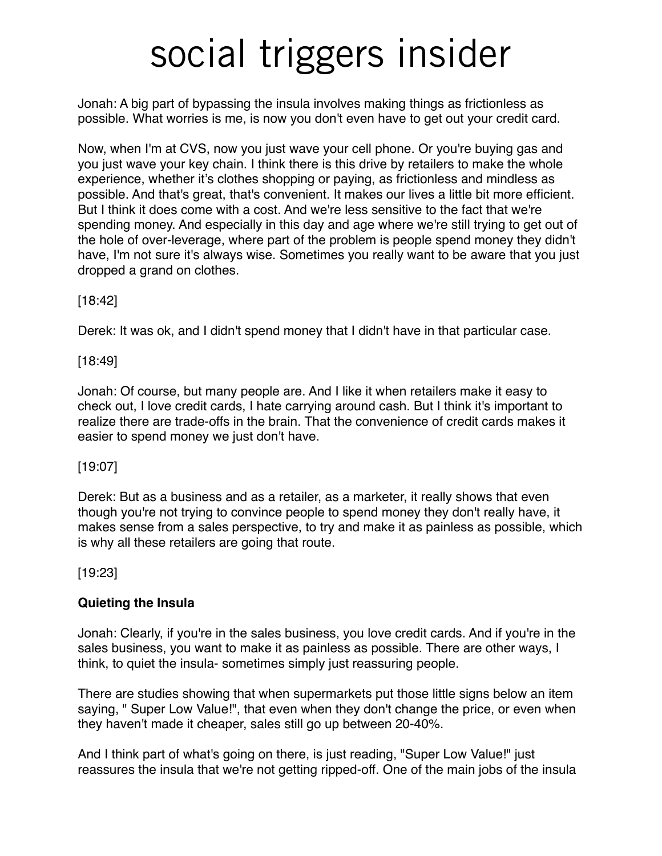Jonah: A big part of bypassing the insula involves making things as frictionless as possible. What worries is me, is now you don't even have to get out your credit card.

Now, when I'm at CVS, now you just wave your cell phone. Or you're buying gas and you just wave your key chain. I think there is this drive by retailers to make the whole experience, whether it's clothes shopping or paying, as frictionless and mindless as possible. And that's great, that's convenient. It makes our lives a little bit more efficient. But I think it does come with a cost. And we're less sensitive to the fact that we're spending money. And especially in this day and age where we're still trying to get out of the hole of over-leverage, where part of the problem is people spend money they didn't have, I'm not sure it's always wise. Sometimes you really want to be aware that you just dropped a grand on clothes.

[18:42]

Derek: It was ok, and I didn't spend money that I didn't have in that particular case.

[18:49]

Jonah: Of course, but many people are. And I like it when retailers make it easy to check out, I love credit cards, I hate carrying around cash. But I think it's important to realize there are trade-offs in the brain. That the convenience of credit cards makes it easier to spend money we just don't have.

[19:07]

Derek: But as a business and as a retailer, as a marketer, it really shows that even though you're not trying to convince people to spend money they don't really have, it makes sense from a sales perspective, to try and make it as painless as possible, which is why all these retailers are going that route.

[19:23]

### **Quieting the Insula**

Jonah: Clearly, if you're in the sales business, you love credit cards. And if you're in the sales business, you want to make it as painless as possible. There are other ways, I think, to quiet the insula- sometimes simply just reassuring people.

There are studies showing that when supermarkets put those little signs below an item saying, " Super Low Value!", that even when they don't change the price, or even when they haven't made it cheaper, sales still go up between 20-40%.

And I think part of what's going on there, is just reading, "Super Low Value!" just reassures the insula that we're not getting ripped-off. One of the main jobs of the insula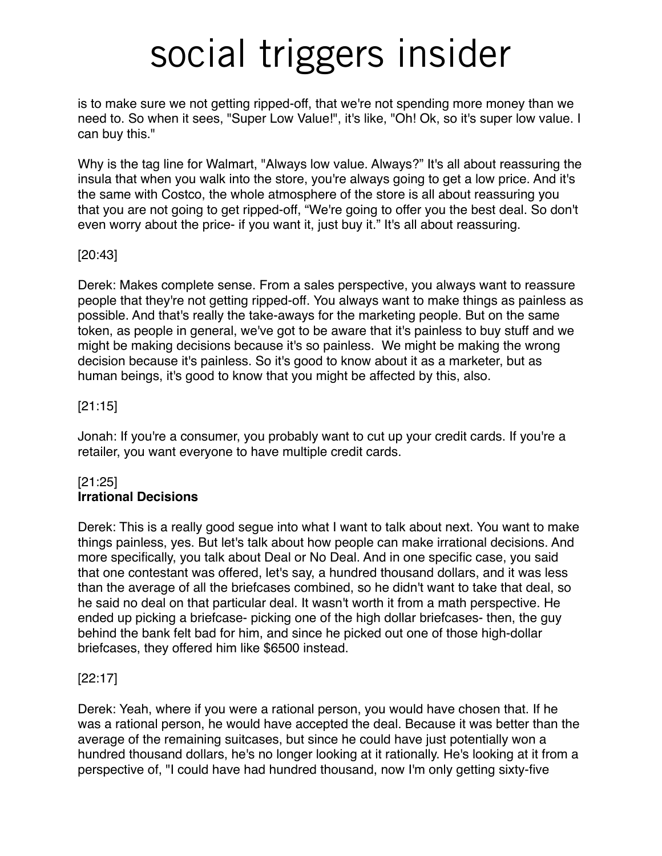is to make sure we not getting ripped-off, that we're not spending more money than we need to. So when it sees, "Super Low Value!", it's like, "Oh! Ok, so it's super low value. I can buy this."

Why is the tag line for Walmart, "Always low value. Always?" It's all about reassuring the insula that when you walk into the store, you're always going to get a low price. And it's the same with Costco, the whole atmosphere of the store is all about reassuring you that you are not going to get ripped-off, "We're going to offer you the best deal. So don't even worry about the price- if you want it, just buy it." It's all about reassuring.

#### [20:43]

Derek: Makes complete sense. From a sales perspective, you always want to reassure people that they're not getting ripped-off. You always want to make things as painless as possible. And that's really the take-aways for the marketing people. But on the same token, as people in general, we've got to be aware that it's painless to buy stuff and we might be making decisions because it's so painless. We might be making the wrong decision because it's painless. So it's good to know about it as a marketer, but as human beings, it's good to know that you might be affected by this, also.

#### [21:15]

Jonah: If you're a consumer, you probably want to cut up your credit cards. If you're a retailer, you want everyone to have multiple credit cards.

### [21:25] **Irrational Decisions**

Derek: This is a really good segue into what I want to talk about next. You want to make things painless, yes. But let's talk about how people can make irrational decisions. And more specifically, you talk about Deal or No Deal. And in one specific case, you said that one contestant was offered, let's say, a hundred thousand dollars, and it was less than the average of all the briefcases combined, so he didn't want to take that deal, so he said no deal on that particular deal. It wasn't worth it from a math perspective. He ended up picking a briefcase- picking one of the high dollar briefcases- then, the guy behind the bank felt bad for him, and since he picked out one of those high-dollar briefcases, they offered him like \$6500 instead.

#### [22:17]

Derek: Yeah, where if you were a rational person, you would have chosen that. If he was a rational person, he would have accepted the deal. Because it was better than the average of the remaining suitcases, but since he could have just potentially won a hundred thousand dollars, he's no longer looking at it rationally. He's looking at it from a perspective of, "I could have had hundred thousand, now I'm only getting sixty-five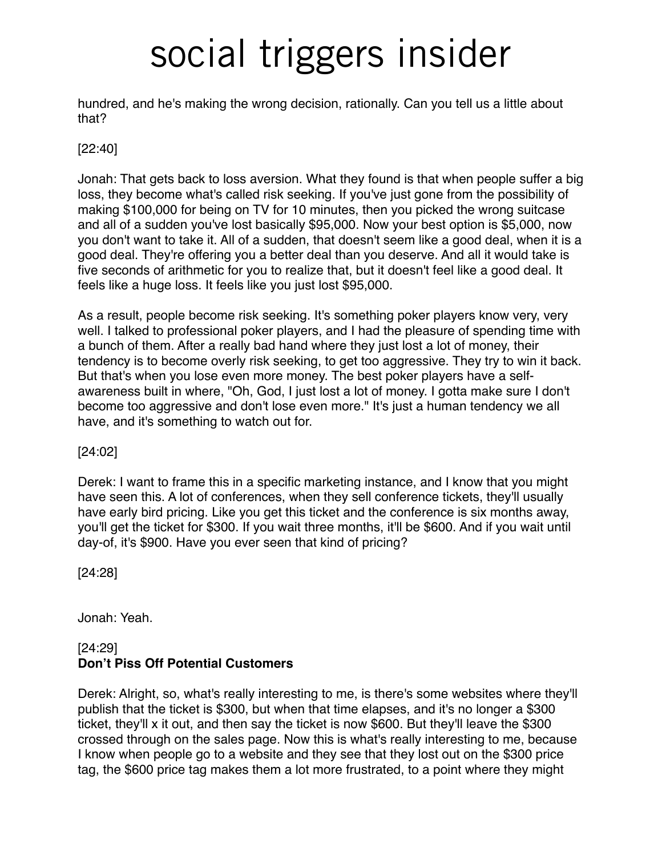hundred, and he's making the wrong decision, rationally. Can you tell us a little about that?

#### [22:40]

Jonah: That gets back to loss aversion. What they found is that when people suffer a big loss, they become what's called risk seeking. If you've just gone from the possibility of making \$100,000 for being on TV for 10 minutes, then you picked the wrong suitcase and all of a sudden you've lost basically \$95,000. Now your best option is \$5,000, now you don't want to take it. All of a sudden, that doesn't seem like a good deal, when it is a good deal. They're offering you a better deal than you deserve. And all it would take is five seconds of arithmetic for you to realize that, but it doesn't feel like a good deal. It feels like a huge loss. It feels like you just lost \$95,000.

As a result, people become risk seeking. It's something poker players know very, very well. I talked to professional poker players, and I had the pleasure of spending time with a bunch of them. After a really bad hand where they just lost a lot of money, their tendency is to become overly risk seeking, to get too aggressive. They try to win it back. But that's when you lose even more money. The best poker players have a selfawareness built in where, "Oh, God, I just lost a lot of money. I gotta make sure I don't become too aggressive and don't lose even more." It's just a human tendency we all have, and it's something to watch out for.

[24:02]

Derek: I want to frame this in a specific marketing instance, and I know that you might have seen this. A lot of conferences, when they sell conference tickets, they'll usually have early bird pricing. Like you get this ticket and the conference is six months away, you'll get the ticket for \$300. If you wait three months, it'll be \$600. And if you wait until day-of, it's \$900. Have you ever seen that kind of pricing?

[24:28]

Jonah: Yeah.

### [24:29] **Don't Piss Off Potential Customers**

Derek: Alright, so, what's really interesting to me, is there's some websites where they'll publish that the ticket is \$300, but when that time elapses, and it's no longer a \$300 ticket, they'll x it out, and then say the ticket is now \$600. But they'll leave the \$300 crossed through on the sales page. Now this is what's really interesting to me, because I know when people go to a website and they see that they lost out on the \$300 price tag, the \$600 price tag makes them a lot more frustrated, to a point where they might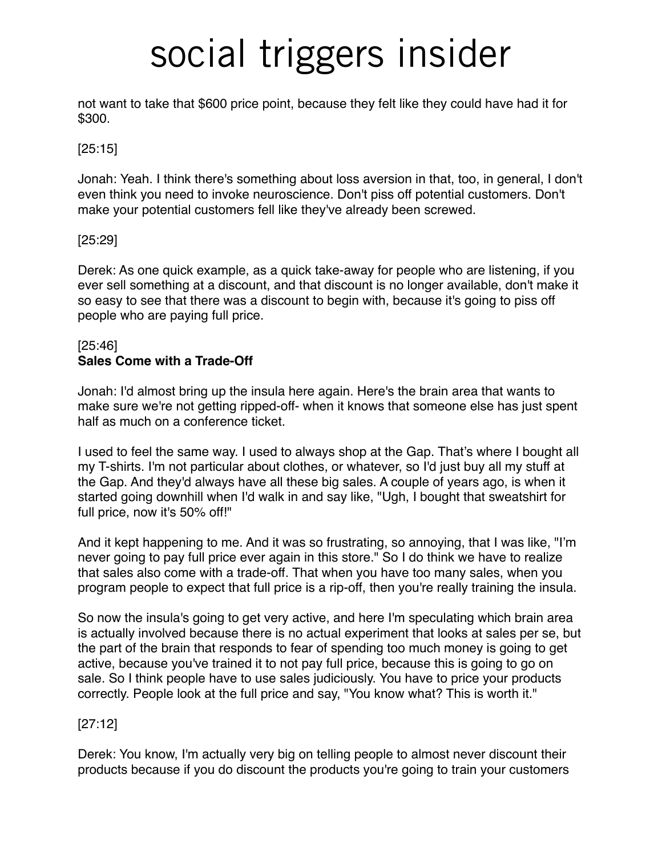not want to take that \$600 price point, because they felt like they could have had it for \$300.

#### [25:15]

Jonah: Yeah. I think there's something about loss aversion in that, too, in general, I don't even think you need to invoke neuroscience. Don't piss off potential customers. Don't make your potential customers fell like they've already been screwed.

#### [25:29]

Derek: As one quick example, as a quick take-away for people who are listening, if you ever sell something at a discount, and that discount is no longer available, don't make it so easy to see that there was a discount to begin with, because it's going to piss off people who are paying full price.

#### [25:46] **Sales Come with a Trade-Off**

Jonah: I'd almost bring up the insula here again. Here's the brain area that wants to make sure we're not getting ripped-off- when it knows that someone else has just spent half as much on a conference ticket.

I used to feel the same way. I used to always shop at the Gap. That's where I bought all my T-shirts. I'm not particular about clothes, or whatever, so I'd just buy all my stuff at the Gap. And they'd always have all these big sales. A couple of years ago, is when it started going downhill when I'd walk in and say like, "Ugh, I bought that sweatshirt for full price, now it's 50% off!"

And it kept happening to me. And it was so frustrating, so annoying, that I was like, "I'm never going to pay full price ever again in this store." So I do think we have to realize that sales also come with a trade-off. That when you have too many sales, when you program people to expect that full price is a rip-off, then you're really training the insula.

So now the insula's going to get very active, and here I'm speculating which brain area is actually involved because there is no actual experiment that looks at sales per se, but the part of the brain that responds to fear of spending too much money is going to get active, because you've trained it to not pay full price, because this is going to go on sale. So I think people have to use sales judiciously. You have to price your products correctly. People look at the full price and say, "You know what? This is worth it."

#### [27:12]

Derek: You know, I'm actually very big on telling people to almost never discount their products because if you do discount the products you're going to train your customers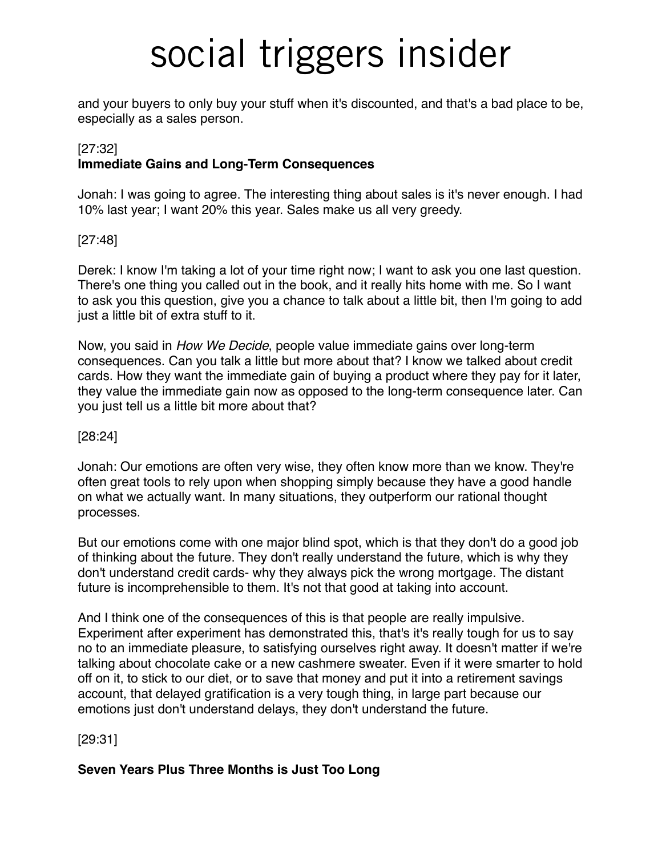and your buyers to only buy your stuff when it's discounted, and that's a bad place to be, especially as a sales person.

#### [27:32] **Immediate Gains and Long-Term Consequences**

Jonah: I was going to agree. The interesting thing about sales is it's never enough. I had 10% last year; I want 20% this year. Sales make us all very greedy.

#### [27:48]

Derek: I know I'm taking a lot of your time right now; I want to ask you one last question. There's one thing you called out in the book, and it really hits home with me. So I want to ask you this question, give you a chance to talk about a little bit, then I'm going to add just a little bit of extra stuff to it.

Now, you said in *How We Decide*, people value immediate gains over long-term consequences. Can you talk a little but more about that? I know we talked about credit cards. How they want the immediate gain of buying a product where they pay for it later, they value the immediate gain now as opposed to the long-term consequence later. Can you just tell us a little bit more about that?

#### [28:24]

Jonah: Our emotions are often very wise, they often know more than we know. They're often great tools to rely upon when shopping simply because they have a good handle on what we actually want. In many situations, they outperform our rational thought processes.

But our emotions come with one major blind spot, which is that they don't do a good job of thinking about the future. They don't really understand the future, which is why they don't understand credit cards- why they always pick the wrong mortgage. The distant future is incomprehensible to them. It's not that good at taking into account.

And I think one of the consequences of this is that people are really impulsive. Experiment after experiment has demonstrated this, that's it's really tough for us to say no to an immediate pleasure, to satisfying ourselves right away. It doesn't matter if we're talking about chocolate cake or a new cashmere sweater. Even if it were smarter to hold off on it, to stick to our diet, or to save that money and put it into a retirement savings account, that delayed gratification is a very tough thing, in large part because our emotions just don't understand delays, they don't understand the future.

[29:31]

### **Seven Years Plus Three Months is Just Too Long**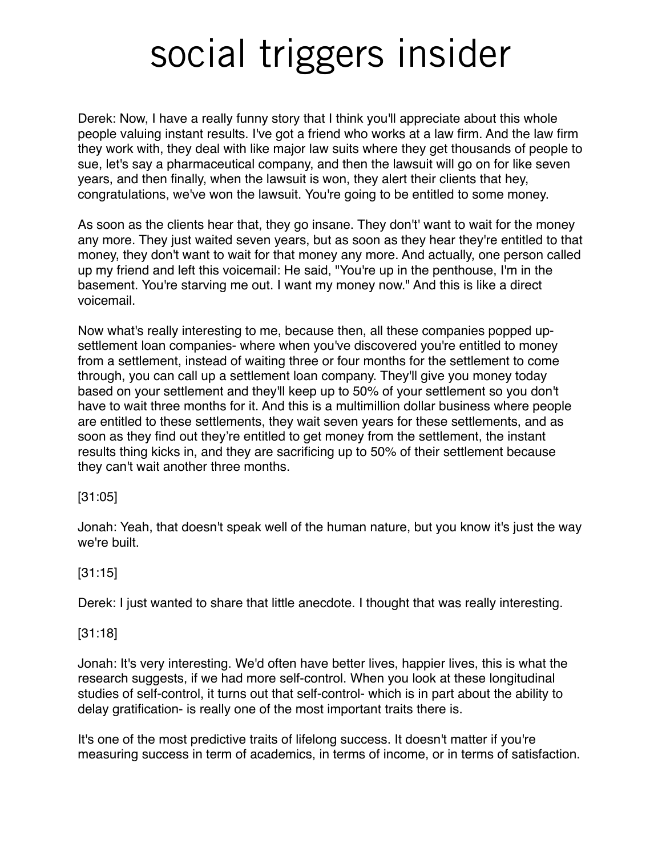Derek: Now, I have a really funny story that I think you'll appreciate about this whole people valuing instant results. I've got a friend who works at a law firm. And the law firm they work with, they deal with like major law suits where they get thousands of people to sue, let's say a pharmaceutical company, and then the lawsuit will go on for like seven years, and then finally, when the lawsuit is won, they alert their clients that hey, congratulations, we've won the lawsuit. You're going to be entitled to some money.

As soon as the clients hear that, they go insane. They don't' want to wait for the money any more. They just waited seven years, but as soon as they hear they're entitled to that money, they don't want to wait for that money any more. And actually, one person called up my friend and left this voicemail: He said, "You're up in the penthouse, I'm in the basement. You're starving me out. I want my money now." And this is like a direct voicemail.

Now what's really interesting to me, because then, all these companies popped upsettlement loan companies- where when you've discovered you're entitled to money from a settlement, instead of waiting three or four months for the settlement to come through, you can call up a settlement loan company. They'll give you money today based on your settlement and they'll keep up to 50% of your settlement so you don't have to wait three months for it. And this is a multimillion dollar business where people are entitled to these settlements, they wait seven years for these settlements, and as soon as they find out they're entitled to get money from the settlement, the instant results thing kicks in, and they are sacrificing up to 50% of their settlement because they can't wait another three months.

#### [31:05]

Jonah: Yeah, that doesn't speak well of the human nature, but you know it's just the way we're built.

### [31:15]

Derek: I just wanted to share that little anecdote. I thought that was really interesting.

#### [31:18]

Jonah: It's very interesting. We'd often have better lives, happier lives, this is what the research suggests, if we had more self-control. When you look at these longitudinal studies of self-control, it turns out that self-control- which is in part about the ability to delay gratification- is really one of the most important traits there is.

It's one of the most predictive traits of lifelong success. It doesn't matter if you're measuring success in term of academics, in terms of income, or in terms of satisfaction.